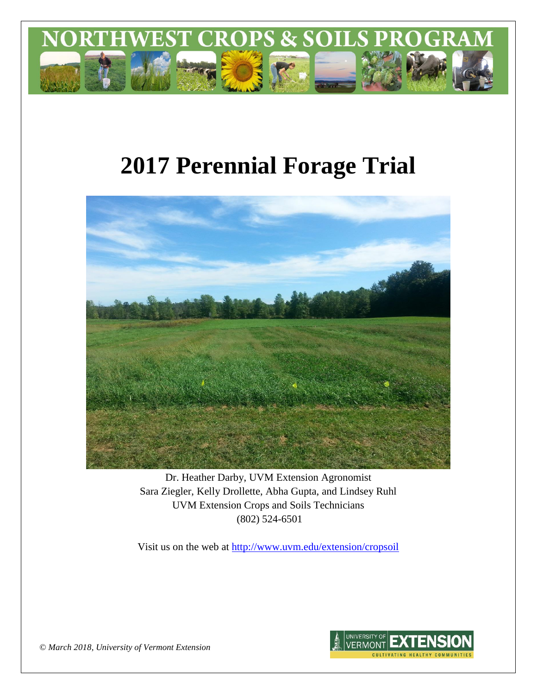

# **2017 Perennial Forage Trial**



Dr. Heather Darby, UVM Extension Agronomist Sara Ziegler, Kelly Drollette, Abha Gupta, and Lindsey Ruhl UVM Extension Crops and Soils Technicians (802) 524-6501

Visit us on the web at <http://www.uvm.edu/extension/cropsoil>



*© March 2018, University of Vermont Extension*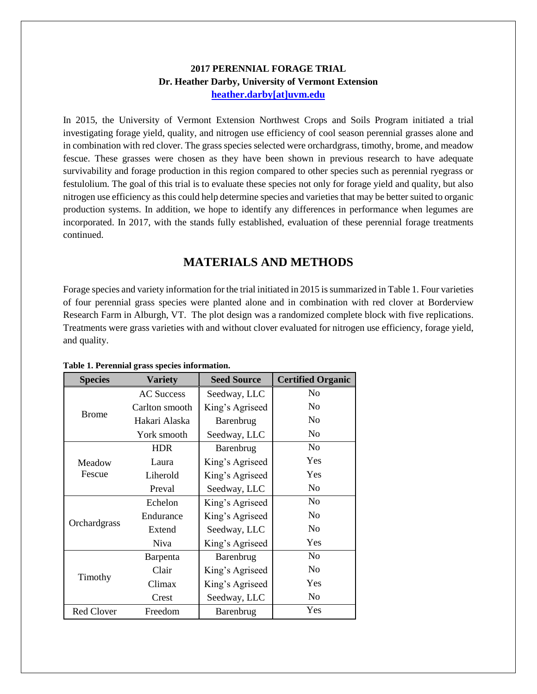## **2017 PERENNIAL FORAGE TRIAL Dr. Heather Darby, University of Vermont Extension [heather.darby\[at\]uvm.edu](mailto:heather.darby@uvm.edu?subject=2013%20Long%20Season%20Corn%20Report)**

In 2015, the University of Vermont Extension Northwest Crops and Soils Program initiated a trial investigating forage yield, quality, and nitrogen use efficiency of cool season perennial grasses alone and in combination with red clover. The grass species selected were orchardgrass, timothy, brome, and meadow fescue. These grasses were chosen as they have been shown in previous research to have adequate survivability and forage production in this region compared to other species such as perennial ryegrass or festulolium. The goal of this trial is to evaluate these species not only for forage yield and quality, but also nitrogen use efficiency as this could help determine species and varieties that may be better suited to organic production systems. In addition, we hope to identify any differences in performance when legumes are incorporated. In 2017, with the stands fully established, evaluation of these perennial forage treatments continued.

## **MATERIALS AND METHODS**

Forage species and variety information for the trial initiated in 2015 is summarized in Table 1. Four varieties of four perennial grass species were planted alone and in combination with red clover at Borderview Research Farm in Alburgh, VT. The plot design was a randomized complete block with five replications. Treatments were grass varieties with and without clover evaluated for nitrogen use efficiency, forage yield, and quality.

| <b>Species</b>    | <b>Variety</b>    | <b>Seed Source</b> | <b>Certified Organic</b> |
|-------------------|-------------------|--------------------|--------------------------|
|                   | <b>AC Success</b> | Seedway, LLC       | N <sub>0</sub>           |
|                   | Carlton smooth    | King's Agriseed    | N <sub>0</sub>           |
| <b>Brome</b>      | Hakari Alaska     | Barenbrug          | No                       |
|                   | York smooth       | Seedway, LLC       | N <sub>0</sub>           |
|                   | <b>HDR</b>        | Barenbrug          | No                       |
| Meadow            | Laura             | King's Agriseed    | Yes                      |
| Fescue            | Liherold          | King's Agriseed    | Yes                      |
|                   | Preval            | Seedway, LLC       | No                       |
|                   | Echelon           | King's Agriseed    | No                       |
|                   | Endurance         | King's Agriseed    | N <sub>0</sub>           |
| Orchardgrass      | Extend            | Seedway, LLC       | N <sub>o</sub>           |
|                   | <b>Niva</b>       | King's Agriseed    | Yes                      |
|                   | Barpenta          | Barenbrug          | N <sub>o</sub>           |
|                   | Clair             | King's Agriseed    | N <sub>o</sub>           |
| Timothy           | Climax            | King's Agriseed    | Yes                      |
|                   | Crest             | Seedway, LLC       | N <sub>0</sub>           |
| <b>Red Clover</b> | Freedom           | Barenbrug          | Yes                      |

**Table 1. Perennial grass species information.**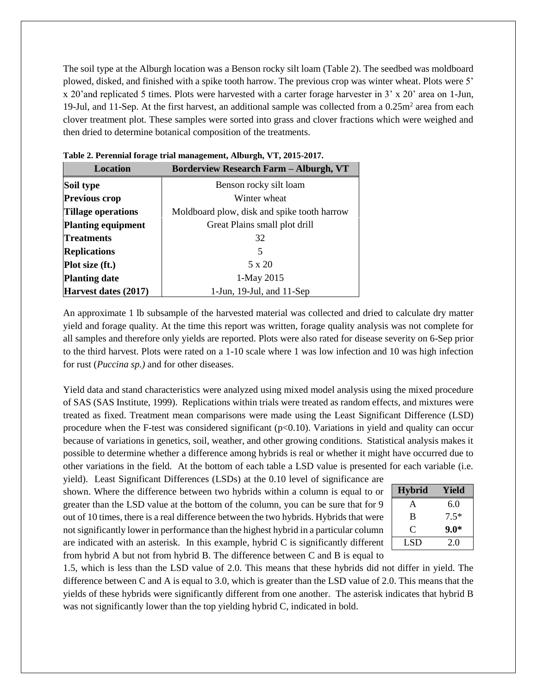The soil type at the Alburgh location was a Benson rocky silt loam (Table 2). The seedbed was moldboard plowed, disked, and finished with a spike tooth harrow. The previous crop was winter wheat. Plots were 5' x 20'and replicated 5 times. Plots were harvested with a carter forage harvester in 3' x 20' area on 1-Jun, 19-Jul, and 11-Sep. At the first harvest, an additional sample was collected from a 0.25m<sup>2</sup> area from each clover treatment plot. These samples were sorted into grass and clover fractions which were weighed and then dried to determine botanical composition of the treatments.

| <b>Location</b>           | <b>Borderview Research Farm - Alburgh, VT</b> |  |  |
|---------------------------|-----------------------------------------------|--|--|
| Soil type                 | Benson rocky silt loam                        |  |  |
| <b>Previous crop</b>      | Winter wheat                                  |  |  |
| Tillage operations        | Moldboard plow, disk and spike tooth harrow   |  |  |
| <b>Planting equipment</b> | Great Plains small plot drill                 |  |  |
| <b>Treatments</b>         | 32                                            |  |  |
| <b>Replications</b>       | 5                                             |  |  |
| Plot size (ft.)           | $5 \times 20$                                 |  |  |
| <b>Planting date</b>      | 1-May 2015                                    |  |  |
| Harvest dates (2017)      | 1-Jun, $19$ -Jul, and $11$ -Sep               |  |  |

|  |  | Table 2. Perennial forage trial management, Alburgh, VT, 2015-2017. |  |  |
|--|--|---------------------------------------------------------------------|--|--|
|--|--|---------------------------------------------------------------------|--|--|

An approximate 1 lb subsample of the harvested material was collected and dried to calculate dry matter yield and forage quality. At the time this report was written, forage quality analysis was not complete for all samples and therefore only yields are reported. Plots were also rated for disease severity on 6-Sep prior to the third harvest. Plots were rated on a 1-10 scale where 1 was low infection and 10 was high infection for rust (*Puccina sp.)* and for other diseases.

Yield data and stand characteristics were analyzed using mixed model analysis using the mixed procedure of SAS (SAS Institute, 1999). Replications within trials were treated as random effects, and mixtures were treated as fixed. Treatment mean comparisons were made using the Least Significant Difference (LSD) procedure when the F-test was considered significant  $(p<0.10)$ . Variations in yield and quality can occur because of variations in genetics, soil, weather, and other growing conditions. Statistical analysis makes it possible to determine whether a difference among hybrids is real or whether it might have occurred due to other variations in the field. At the bottom of each table a LSD value is presented for each variable (i.e.

yield). Least Significant Differences (LSDs) at the 0.10 level of significance are shown. Where the difference between two hybrids within a column is equal to or greater than the LSD value at the bottom of the column, you can be sure that for 9 out of 10 times, there is a real difference between the two hybrids. Hybrids that were not significantly lower in performance than the highest hybrid in a particular column are indicated with an asterisk. In this example, hybrid C is significantly different from hybrid A but not from hybrid B. The difference between C and B is equal to

| <b>Hybrid</b> | Yield  |
|---------------|--------|
| А             | 6.0    |
| B             | $7.5*$ |
| C             | $9.0*$ |
| LSD           | 2.0    |

1.5, which is less than the LSD value of 2.0. This means that these hybrids did not differ in yield. The difference between C and A is equal to 3.0, which is greater than the LSD value of 2.0. This means that the yields of these hybrids were significantly different from one another. The asterisk indicates that hybrid B was not significantly lower than the top yielding hybrid C, indicated in bold.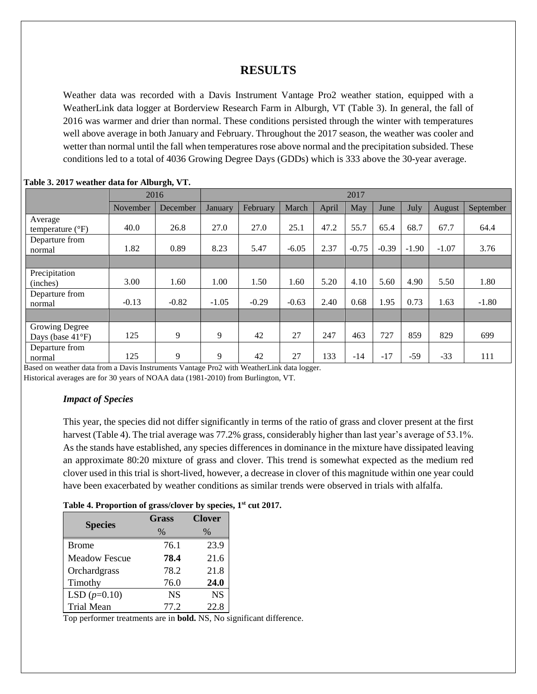## **RESULTS**

Weather data was recorded with a Davis Instrument Vantage Pro2 weather station, equipped with a WeatherLink data logger at Borderview Research Farm in Alburgh, VT (Table 3). In general, the fall of 2016 was warmer and drier than normal. These conditions persisted through the winter with temperatures well above average in both January and February. Throughout the 2017 season, the weather was cooler and wetter than normal until the fall when temperatures rose above normal and the precipitation subsided. These conditions led to a total of 4036 Growing Degree Days (GDDs) which is 333 above the 30-year average.

|                                                     |          | 2016     | 2017    |          |         |       |         |         |         |         |           |
|-----------------------------------------------------|----------|----------|---------|----------|---------|-------|---------|---------|---------|---------|-----------|
|                                                     | November | December | January | February | March   | April | May     | June    | July    | August  | September |
| Average<br>temperature $(^{\circ}F)$                | 40.0     | 26.8     | 27.0    | 27.0     | 25.1    | 47.2  | 55.7    | 65.4    | 68.7    | 67.7    | 64.4      |
| Departure from<br>normal                            | 1.82     | 0.89     | 8.23    | 5.47     | $-6.05$ | 2.37  | $-0.75$ | $-0.39$ | $-1.90$ | $-1.07$ | 3.76      |
|                                                     |          |          |         |          |         |       |         |         |         |         |           |
| Precipitation<br>(inches)                           | 3.00     | 1.60     | 1.00    | 1.50     | 1.60    | 5.20  | 4.10    | 5.60    | 4.90    | 5.50    | 1.80      |
| Departure from<br>normal                            | $-0.13$  | $-0.82$  | $-1.05$ | $-0.29$  | $-0.63$ | 2.40  | 0.68    | 1.95    | 0.73    | 1.63    | $-1.80$   |
|                                                     |          |          |         |          |         |       |         |         |         |         |           |
| <b>Growing Degree</b><br>Days (base $41^{\circ}F$ ) | 125      | 9        | 9       | 42       | 27      | 247   | 463     | 727     | 859     | 829     | 699       |
| Departure from<br>normal                            | 125      | 9        | 9       | 42       | 27      | 133   | $-14$   | $-17$   | $-59$   | $-33$   | 111       |

#### **Table 3. 2017 weather data for Alburgh, VT.**

Based on weather data from a Davis Instruments Vantage Pro2 with WeatherLink data logger.

Historical averages are for 30 years of NOAA data (1981-2010) from Burlington, VT.

#### *Impact of Species*

This year, the species did not differ significantly in terms of the ratio of grass and clover present at the first harvest (Table 4). The trial average was 77.2% grass, considerably higher than last year's average of 53.1%. As the stands have established, any species differences in dominance in the mixture have dissipated leaving an approximate 80:20 mixture of grass and clover. This trend is somewhat expected as the medium red clover used in this trial is short-lived, however, a decrease in clover of this magnitude within one year could have been exacerbated by weather conditions as similar trends were observed in trials with alfalfa.

#### **Table 4. Proportion of grass/clover by species, 1st cut 2017.**

| <b>Species</b>       | <b>Grass</b> | <b>Clover</b> |
|----------------------|--------------|---------------|
|                      | $\%$         | $\frac{0}{6}$ |
| <b>Brome</b>         | 76.1         | 23.9          |
| <b>Meadow Fescue</b> | 78.4         | 21.6          |
| Orchardgrass         | 78.2         | 21.8          |
| Timothy              | 76.0         | 24.0          |
| LSD $(p=0.10)$       | <b>NS</b>    | <b>NS</b>     |
| <b>Trial Mean</b>    | 77 2.        | 22.8          |

Top performer treatments are in **bold.** NS, No significant difference.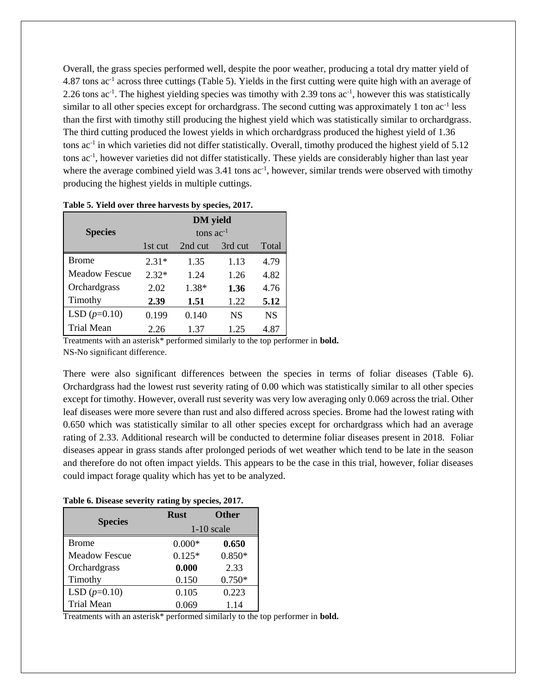Overall, the grass species performed well, despite the poor weather, producing a total dry matter yield of 4.87 tons ac<sup>-1</sup> across three cuttings (Table 5). Yields in the first cutting were quite high with an average of 2.26 tons  $ac^{-1}$ . The highest yielding species was timothy with 2.39 tons  $ac^{-1}$ , however this was statistically similar to all other species except for orchardgrass. The second cutting was approximately 1 ton ac<sup>-1</sup> less than the first with timothy still producing the highest yield which was statistically similar to orchardgrass. The third cutting produced the lowest yields in which orchardgrass produced the highest yield of 1.36 tons ac<sup>-1</sup> in which varieties did not differ statistically. Overall, timothy produced the highest yield of 5.12 tons ac-1 , however varieties did not differ statistically. These yields are considerably higher than last year where the average combined yield was  $3.41$  tons ac<sup>-1</sup>, however, similar trends were observed with timothy producing the highest yields in multiple cuttings.

|                      | <b>DM</b> yield |         |           |           |  |  |  |  |
|----------------------|-----------------|---------|-----------|-----------|--|--|--|--|
| <b>Species</b>       | tons $ac^{-1}$  |         |           |           |  |  |  |  |
|                      | 1st cut         | 2nd cut | 3rd cut   | Total     |  |  |  |  |
| <b>Brome</b>         | $2.31*$         | 1.35    | 1.13      | 4.79      |  |  |  |  |
| <b>Meadow Fescue</b> | $2.32*$         | 1.24    | 1.26      | 4.82      |  |  |  |  |
| Orchardgrass         | 2.02            | 1.38*   | 1.36      | 4.76      |  |  |  |  |
| Timothy              | 2.39            | 1.51    | 1.22      | 5.12      |  |  |  |  |
| LSD $(p=0.10)$       | 0.199           | 0.140   | <b>NS</b> | <b>NS</b> |  |  |  |  |
| Trial Mean           | 2.26            | 1.37    | 1.25      | 4.87      |  |  |  |  |

**Table 5. Yield over three harvests by species, 2017.**

Treatments with an asterisk\* performed similarly to the top performer in **bold.** NS-No significant difference.

There were also significant differences between the species in terms of foliar diseases (Table 6). Orchardgrass had the lowest rust severity rating of 0.00 which was statistically similar to all other species except for timothy. However, overall rust severity was very low averaging only 0.069 across the trial. Other leaf diseases were more severe than rust and also differed across species. Brome had the lowest rating with 0.650 which was statistically similar to all other species except for orchardgrass which had an average rating of 2.33. Additional research will be conducted to determine foliar diseases present in 2018. Foliar diseases appear in grass stands after prolonged periods of wet weather which tend to be late in the season and therefore do not often impact yields. This appears to be the case in this trial, however, foliar diseases could impact forage quality which has yet to be analyzed.

#### **Table 6. Disease severity rating by species, 2017.**

| <b>Species</b>       | <b>Rust</b>  | <b>Other</b> |  |  |  |
|----------------------|--------------|--------------|--|--|--|
|                      | $1-10$ scale |              |  |  |  |
| <b>Brome</b>         | $0.000*$     | 0.650        |  |  |  |
| <b>Meadow Fescue</b> | $0.125*$     | $0.850*$     |  |  |  |
| Orchardgrass         | 0.000        | 2.33         |  |  |  |
| Timothy              | 0.150        | $0.750*$     |  |  |  |
| LSD $(p=0.10)$       | 0.105        | 0.223        |  |  |  |
| <b>Trial Mean</b>    | 0.069        | 1.14         |  |  |  |

Treatments with an asterisk\* performed similarly to the top performer in **bold.**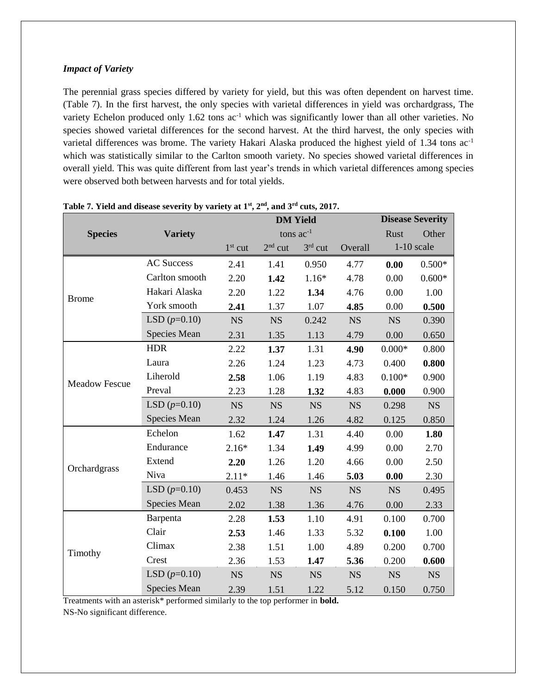#### *Impact of Variety*

The perennial grass species differed by variety for yield, but this was often dependent on harvest time. (Table 7). In the first harvest, the only species with varietal differences in yield was orchardgrass, The variety Echelon produced only 1.62 tons ac<sup>-1</sup> which was significantly lower than all other varieties. No species showed varietal differences for the second harvest. At the third harvest, the only species with varietal differences was brome. The variety Hakari Alaska produced the highest yield of 1.34 tons ac-1 which was statistically similar to the Carlton smooth variety. No species showed varietal differences in overall yield. This was quite different from last year's trends in which varietal differences among species were observed both between harvests and for total yields.

|                      |                   |           | <b>DM</b> Yield | <b>Disease Severity</b> |           |           |              |
|----------------------|-------------------|-----------|-----------------|-------------------------|-----------|-----------|--------------|
| <b>Species</b>       | <b>Variety</b>    |           | tons $ac^{-1}$  |                         |           | Rust      | Other        |
|                      |                   | $1st$ cut | $2nd$ cut       | $3rd$ cut               | Overall   |           | $1-10$ scale |
|                      | <b>AC Success</b> | 2.41      | 1.41            | 0.950                   | 4.77      | 0.00      | $0.500*$     |
|                      | Carlton smooth    | 2.20      | 1.42            | $1.16*$                 | 4.78      | 0.00      | $0.600*$     |
| <b>Brome</b>         | Hakari Alaska     | 2.20      | 1.22            | 1.34                    | 4.76      | 0.00      | 1.00         |
|                      | York smooth       | 2.41      | 1.37            | 1.07                    | 4.85      | 0.00      | 0.500        |
|                      | LSD $(p=0.10)$    | <b>NS</b> | <b>NS</b>       | 0.242                   | <b>NS</b> | <b>NS</b> | 0.390        |
|                      | Species Mean      | 2.31      | 1.35            | 1.13                    | 4.79      | 0.00      | 0.650        |
|                      | <b>HDR</b>        | 2.22      | 1.37            | 1.31                    | 4.90      | $0.000*$  | 0.800        |
|                      | Laura             | 2.26      | 1.24            | 1.23                    | 4.73      | 0.400     | 0.800        |
|                      | Liherold          | 2.58      | 1.06            | 1.19                    | 4.83      | $0.100*$  | 0.900        |
| <b>Meadow Fescue</b> | Preval            | 2.23      | 1.28            | 1.32                    | 4.83      | 0.000     | 0.900        |
|                      | LSD $(p=0.10)$    | <b>NS</b> | <b>NS</b>       | <b>NS</b>               | <b>NS</b> | 0.298     | NS           |
|                      | Species Mean      | 2.32      | 1.24            | 1.26                    | 4.82      | 0.125     | 0.850        |
|                      | Echelon           | 1.62      | 1.47            | 1.31                    | 4.40      | 0.00      | 1.80         |
|                      | Endurance         | $2.16*$   | 1.34            | 1.49                    | 4.99      | 0.00      | 2.70         |
|                      | Extend            | 2.20      | 1.26            | 1.20                    | 4.66      | 0.00      | 2.50         |
| Orchardgrass         | Niva              | $2.11*$   | 1.46            | 1.46                    | 5.03      | 0.00      | 2.30         |
|                      | LSD $(p=0.10)$    | 0.453     | <b>NS</b>       | <b>NS</b>               | <b>NS</b> | <b>NS</b> | 0.495        |
|                      | Species Mean      | 2.02      | 1.38            | 1.36                    | 4.76      | 0.00      | 2.33         |
|                      | Barpenta          | 2.28      | 1.53            | 1.10                    | 4.91      | 0.100     | 0.700        |
|                      | Clair             | 2.53      | 1.46            | 1.33                    | 5.32      | 0.100     | 1.00         |
|                      | Climax            | 2.38      | 1.51            | 1.00                    | 4.89      | 0.200     | 0.700        |
| Timothy              | Crest             | 2.36      | 1.53            | 1.47                    | 5.36      | 0.200     | 0.600        |
|                      | LSD $(p=0.10)$    | <b>NS</b> | <b>NS</b>       | <b>NS</b>               | <b>NS</b> | <b>NS</b> | <b>NS</b>    |
|                      | Species Mean      | 2.39      | 1.51            | 1.22                    | 5.12      | 0.150     | 0.750        |

**Table 7. Yield and disease severity by variety at 1st, 2nd, and 3rd cuts, 2017.**

Treatments with an asterisk\* performed similarly to the top performer in **bold.** NS-No significant difference.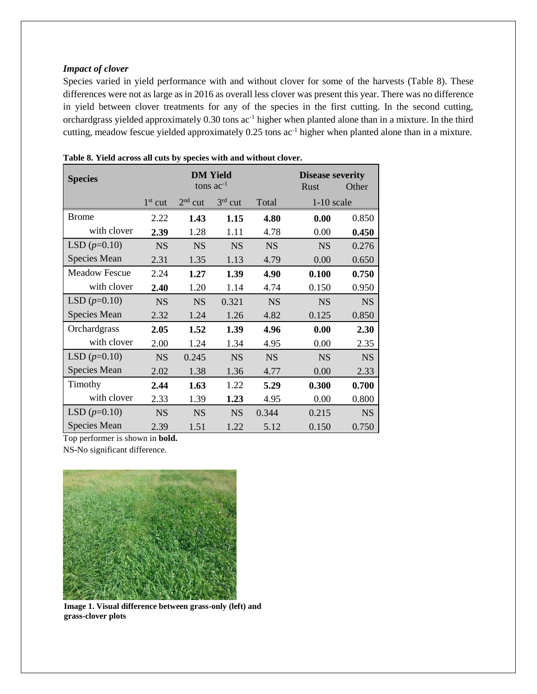#### *Impact of clover*

Species varied in yield performance with and without clover for some of the harvests (Table 8). These differences were not as large as in 2016 as overall less clover was present this year. There was no difference in yield between clover treatments for any of the species in the first cutting. In the second cutting, orchardgrass yielded approximately  $0.30$  tons  $ac<sup>-1</sup>$  higher when planted alone than in a mixture. In the third cutting, meadow fescue yielded approximately 0.25 tons ac<sup>-1</sup> higher when planted alone than in a mixture.

| <b>Species</b>       |           | <b>DM Yield</b> | <b>Disease severity</b> |           |              |           |
|----------------------|-----------|-----------------|-------------------------|-----------|--------------|-----------|
|                      |           | tons $ac^{-1}$  | Rust                    | Other     |              |           |
|                      | $1st$ cut | $2nd$ cut       | $3rd$ cut               | Total     | $1-10$ scale |           |
| <b>Brome</b>         | 2.22      | 1.43            | 1.15                    | 4.80      | 0.00         | 0.850     |
| with clover          | 2.39      | 1.28            | 1.11                    | 4.78      | 0.00         | 0.450     |
| LSD $(p=0.10)$       | <b>NS</b> | <b>NS</b>       | <b>NS</b>               | <b>NS</b> | <b>NS</b>    | 0.276     |
| Species Mean         | 2.31      | 1.35            | 1.13                    | 4.79      | 0.00         | 0.650     |
| <b>Meadow Fescue</b> | 2.24      | 1.27            | 1.39                    | 4.90      | 0.100        | 0.750     |
| with clover          | 2.40      | 1.20            | 1.14                    | 4.74      | 0.150        | 0.950     |
| LSD $(p=0.10)$       | <b>NS</b> | <b>NS</b>       | 0.321                   | <b>NS</b> | <b>NS</b>    | <b>NS</b> |
| Species Mean         | 2.32      | 1.24            | 1.26                    | 4.82      | 0.125        | 0.850     |
| Orchardgrass         | 2.05      | 1.52            | 1.39                    | 4.96      | 0.00         | 2.30      |
| with clover          | 2.00      | 1.24            | 1.34                    | 4.95      | 0.00         | 2.35      |
| LSD $(p=0.10)$       | <b>NS</b> | 0.245           | <b>NS</b>               | <b>NS</b> | <b>NS</b>    | <b>NS</b> |
| Species Mean         | 2.02      | 1.38            | 1.36                    | 4.77      | 0.00         | 2.33      |
| Timothy              | 2.44      | 1.63            | 1.22                    | 5.29      | 0.300        | 0.700     |
| with clover          | 2.33      | 1.39            | 1.23                    | 4.95      | 0.00         | 0.800     |
| LSD $(p=0.10)$       | <b>NS</b> | <b>NS</b>       | <b>NS</b>               | 0.344     | 0.215        | <b>NS</b> |
| <b>Species Mean</b>  | 2.39      | 1.51            | 1.22                    | 5.12      | 0.150        | 0.750     |

**Table 8. Yield across all cuts by species with and without clover.**

Top performer is shown in **bold.**

NS-No significant difference.



**Image 1. Visual difference between grass-only (left) and grass-clover plots**